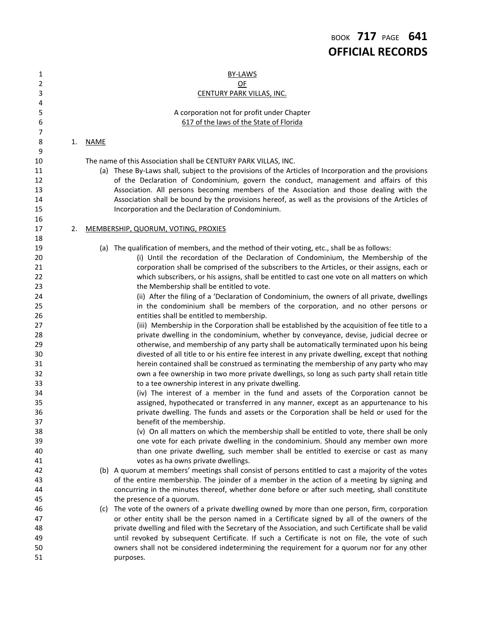| 1        |    |             | BY-LAWS                                                                                                                     |
|----------|----|-------------|-----------------------------------------------------------------------------------------------------------------------------|
| 2        |    |             | QE                                                                                                                          |
| 3        |    |             | CENTURY PARK VILLAS, INC.                                                                                                   |
| 4        |    |             |                                                                                                                             |
| 5        |    |             | A corporation not for profit under Chapter                                                                                  |
| 6        |    |             | 617 of the laws of the State of Florida                                                                                     |
| 7        |    |             |                                                                                                                             |
| 8        | 1. | <b>NAME</b> |                                                                                                                             |
| 9        |    |             |                                                                                                                             |
| 10       |    |             | The name of this Association shall be CENTURY PARK VILLAS, INC.                                                             |
| 11       |    |             | (a) These By-Laws shall, subject to the provisions of the Articles of Incorporation and the provisions                      |
| 12       |    |             | of the Declaration of Condominium, govern the conduct, management and affairs of this                                       |
| 13       |    |             | Association. All persons becoming members of the Association and those dealing with the                                     |
| 14       |    |             | Association shall be bound by the provisions hereof, as well as the provisions of the Articles of                           |
| 15       |    |             | Incorporation and the Declaration of Condominium.                                                                           |
| 16       |    |             |                                                                                                                             |
| 17       | 2. |             | MEMBERSHIP, QUORUM, VOTING, PROXIES                                                                                         |
| 18       |    |             |                                                                                                                             |
| 19       |    |             | (a) The qualification of members, and the method of their voting, etc., shall be as follows:                                |
| 20       |    |             | (i) Until the recordation of the Declaration of Condominium, the Membership of the                                          |
| 21       |    |             | corporation shall be comprised of the subscribers to the Articles, or their assigns, each or                                |
| 22       |    |             | which subscribers, or his assigns, shall be entitled to cast one vote on all matters on which                               |
| 23       |    |             | the Membership shall be entitled to vote.                                                                                   |
| 24       |    |             | (ii) After the filing of a 'Declaration of Condominium, the owners of all private, dwellings                                |
| 25       |    |             | in the condominium shall be members of the corporation, and no other persons or                                             |
| 26       |    |             | entities shall be entitled to membership.                                                                                   |
| 27       |    |             | (iii) Membership in the Corporation shall be established by the acquisition of fee title to a                               |
| 28       |    |             | private dwelling in the condominium, whether by conveyance, devise, judicial decree or                                      |
| 29       |    |             | otherwise, and membership of any party shall be automatically terminated upon his being                                     |
| 30       |    |             | divested of all title to or his entire fee interest in any private dwelling, except that nothing                            |
| 31       |    |             | herein contained shall be construed as terminating the membership of any party who may                                      |
| 32       |    |             | own a fee ownership in two more private dwellings, so long as such party shall retain title                                 |
| 33       |    |             | to a tee ownership interest in any private dwelling.                                                                        |
| 34       |    |             | (iv) The interest of a member in the fund and assets of the Corporation cannot be                                           |
| 35       |    |             | assigned, hypothecated or transferred in any manner, except as an appurtenance to his                                       |
| 36       |    |             | private dwelling. The funds and assets or the Corporation shall be held or used for the                                     |
| 37       |    |             | benefit of the membership.                                                                                                  |
| 38       |    |             | (v) On all matters on which the membership shall be entitled to vote, there shall be only                                   |
| 39       |    |             | one vote for each private dwelling in the condominium. Should any member own more                                           |
| 40       |    |             | than one private dwelling, such member shall be entitled to exercise or cast as many<br>votes as ha owns private dwellings. |
| 41       |    |             |                                                                                                                             |
| 42       |    |             | (b) A quorum at members' meetings shall consist of persons entitled to cast a majority of the votes                         |
| 43<br>44 |    |             | of the entire membership. The joinder of a member in the action of a meeting by signing and                                 |
|          |    |             | concurring in the minutes thereof, whether done before or after such meeting, shall constitute                              |
| 45<br>46 |    |             | the presence of a quorum.<br>The vote of the owners of a private dwelling owned by more than one person, firm, corporation  |
| 47       |    | (C)         | or other entity shall be the person named in a Certificate signed by all of the owners of the                               |
| 48       |    |             | private dwelling and filed with the Secretary of the Association, and such Certificate shall be valid                       |
| 49       |    |             | until revoked by subsequent Certificate. If such a Certificate is not on file, the vote of such                             |
| 50       |    |             | owners shall not be considered indetermining the requirement for a quorum nor for any other                                 |
| 51       |    |             | purposes.                                                                                                                   |
|          |    |             |                                                                                                                             |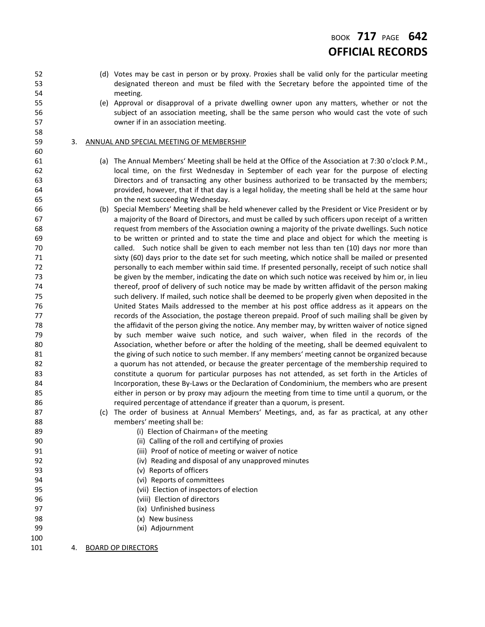## BOOK **717** PAGE **642 OFFICIAL RECORDS**

- (d) Votes may be cast in person or by proxy. Proxies shall be valid only for the particular meeting designated thereon and must be filed with the Secretary before the appointed time of the meeting.
- (e) Approval or disapproval of a private dwelling owner upon any matters, whether or not the subject of an association meeting, shall be the same person who would cast the vote of such owner if in an association meeting.

#### 3. ANNUAL AND SPECIAL MEETING OF MEMBERSHIP

- (a) The Annual Members' Meeting shall be held at the Office of the Association at 7:30 o'clock P.M., local time, on the first Wednesday in September of each year for the purpose of electing Directors and of transacting any other business authorized to be transacted by the members; provided, however, that if that day is a legal holiday, the meeting shall be held at the same hour on the next succeeding Wednesday.
- (b) Special Members' Meeting shall be held whenever called by the President or Vice President or by a majority of the Board of Directors, and must be called by such officers upon receipt of a written request from members of the Association owning a majority of the private dwellings. Such notice to be written or printed and to state the time and place and object for which the meeting is called. Such notice shall be given to each member not less than ten (10) days nor more than sixty (60) days prior to the date set for such meeting, which notice shall be mailed or presented 72 personally to each member within said time. If presented personally, receipt of such notice shall be given by the member, indicating the date on which such notice was received by him or, in lieu thereof, proof of delivery of such notice may be made by written affidavit of the person making such delivery. If mailed, such notice shall be deemed to be properly given when deposited in the United States Mails addressed to the member at his post office address as it appears on the **records of the Association, the postage thereon prepaid. Proof of such mailing shall be given by**  the affidavit of the person giving the notice. Any member may, by written waiver of notice signed by such member waive such notice, and such waiver, when filed in the records of the Association, whether before or after the holding of the meeting, shall be deemed equivalent to 81 the giving of such notice to such member. If any members' meeting cannot be organized because 82 a quorum has not attended, or because the greater percentage of the membership required to constitute a quorum for particular purposes has not attended, as set forth in the Articles of Incorporation, these By-Laws or the Declaration of Condominium, the members who are present either in person or by proxy may adjourn the meeting from time to time until a quorum, or the required percentage of attendance if greater than a quorum, is present.
- (c) The order of business at Annual Members' Meetings, and, as far as practical, at any other members' meeting shall be:
- 89 (i) Election of Chairman» of the meeting
- (ii) Calling of the roll and certifying of proxies
- (iii) Proof of notice of meeting or waiver of notice
- (iv) Reading and disposal of any unapproved minutes
- (v) Reports of officers
- (vi) Reports of committees
- (vii) Election of inspectors of election
- (viii) Election of directors
- (ix) Unfinished business
- (x) New business
- (xi) Adjournment
- 

4. BOARD OP DIRECTORS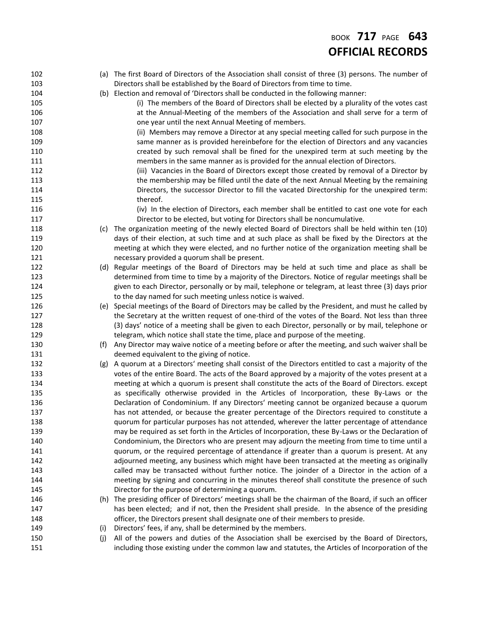# BOOK **717** PAGE **643 OFFICIAL RECORDS**

| 102 |     | (a) The first Board of Directors of the Association shall consist of three (3) persons. The number of   |
|-----|-----|---------------------------------------------------------------------------------------------------------|
| 103 |     | Directors shall be established by the Board of Directors from time to time.                             |
| 104 |     | (b) Election and removal of 'Directors shall be conducted in the following manner:                      |
| 105 |     | (i) The members of the Board of Directors shall be elected by a plurality of the votes cast             |
| 106 |     | at the Annual-Meeting of the members of the Association and shall serve for a term of                   |
| 107 |     | one year until the next Annual Meeting of members.                                                      |
| 108 |     | (ii) Members may remove a Director at any special meeting called for such purpose in the                |
| 109 |     | same manner as is provided hereinbefore for the election of Directors and any vacancies                 |
| 110 |     | created by such removal shall be fined for the unexpired term at such meeting by the                    |
| 111 |     | members in the same manner as is provided for the annual election of Directors.                         |
| 112 |     | (iii) Vacancies in the Board of Directors except those created by removal of a Director by              |
| 113 |     | the membership may be filled until the date of the next Annual Meeting by the remaining                 |
| 114 |     | Directors, the successor Director to fill the vacated Directorship for the unexpired term:              |
| 115 |     | thereof.                                                                                                |
| 116 |     | (iv) In the election of Directors, each member shall be entitled to cast one vote for each              |
| 117 |     | Director to be elected, but voting for Directors shall be noncumulative.                                |
| 118 |     | (c) The organization meeting of the newly elected Board of Directors shall be held within ten (10)      |
| 119 |     | days of their election, at such time and at such place as shall be fixed by the Directors at the        |
| 120 |     | meeting at which they were elected, and no further notice of the organization meeting shall be          |
| 121 |     | necessary provided a quorum shall be present.                                                           |
| 122 |     | (d) Regular meetings of the Board of Directors may be held at such time and place as shall be           |
| 123 |     | determined from time to time by a majority of the Directors. Notice of regular meetings shall be        |
| 124 |     | given to each Director, personally or by mail, telephone or telegram, at least three (3) days prior     |
| 125 |     | to the day named for such meeting unless notice is waived.                                              |
| 126 |     | (e) Special meetings of the Board of Directors may be called by the President, and must he called by    |
| 127 |     | the Secretary at the written request of one-third of the votes of the Board. Not less than three        |
| 128 |     | (3) days' notice of a meeting shall be given to each Director, personally or by mail, telephone or      |
| 129 |     | telegram, which notice shall state the time, place and purpose of the meeting.                          |
| 130 | (f) | Any Director may waive notice of a meeting before or after the meeting, and such waiver shall be        |
| 131 |     | deemed equivalent to the giving of notice.                                                              |
| 132 |     | (g) A quorum at a Directors' meeting shall consist of the Directors entitled to cast a majority of the  |
| 133 |     | votes of the entire Board. The acts of the Board approved by a majority of the votes present at a       |
| 134 |     | meeting at which a quorum is present shall constitute the acts of the Board of Directors. except        |
| 135 |     | as specifically otherwise provided in the Articles of Incorporation, these By-Laws or the               |
| 136 |     | Declaration of Condominium. If any Directors' meeting cannot be organized because a quorum              |
| 137 |     | has not attended, or because the greater percentage of the Directors required to constitute a           |
| 138 |     | quorum for particular purposes has not attended, wherever the latter percentage of attendance           |
| 139 |     | may be required as set forth in the Articles of Incorporation, these By-Laws or the Declaration of      |
| 140 |     | Condominium, the Directors who are present may adjourn the meeting from time to time until a            |
| 141 |     | quorum, or the required percentage of attendance if greater than a quorum is present. At any            |
| 142 |     | adjourned meeting, any business which might have been transacted at the meeting as originally           |
| 143 |     | called may be transacted without further notice. The joinder of a Director in the action of a           |
| 144 |     | meeting by signing and concurring in the minutes thereof shall constitute the presence of such          |
| 145 |     | Director for the purpose of determining a quorum.                                                       |
| 146 |     | (h) The presiding officer of Directors' meetings shall be the chairman of the Board, if such an officer |
| 147 |     | has been elected; and if not, then the President shall preside. In the absence of the presiding         |
| 148 |     | officer, the Directors present shall designate one of their members to preside.                         |
| 149 | (i) | Directors' fees, if any, shall be determined by the members.                                            |
| 150 | (i) | All of the powers and duties of the Association shall be exercised by the Board of Directors,           |
| 151 |     | including those existing under the common law and statutes, the Articles of Incorporation of the        |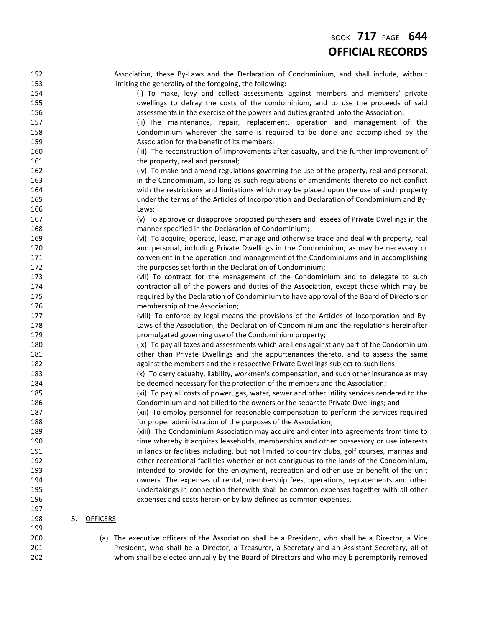| 152 |    |                 | Association, these By-Laws and the Declaration of Condominium, and shall include, without                                                                                       |
|-----|----|-----------------|---------------------------------------------------------------------------------------------------------------------------------------------------------------------------------|
| 153 |    |                 | limiting the generality of the foregoing, the following:                                                                                                                        |
| 154 |    |                 | (i) To make, levy and collect assessments against members and members' private                                                                                                  |
| 155 |    |                 | dwellings to defray the costs of the condominium, and to use the proceeds of said                                                                                               |
| 156 |    |                 | assessments in the exercise of the powers and duties granted unto the Association;                                                                                              |
| 157 |    |                 | (ii) The maintenance, repair, replacement, operation and management of the                                                                                                      |
| 158 |    |                 | Condominium wherever the same is required to be done and accomplished by the                                                                                                    |
| 159 |    |                 | Association for the benefit of its members;                                                                                                                                     |
| 160 |    |                 | (iii) The reconstruction of improvements after casualty, and the further improvement of                                                                                         |
| 161 |    |                 | the property, real and personal;                                                                                                                                                |
| 162 |    |                 | (iv) To make and amend regulations governing the use of the property, real and personal,                                                                                        |
| 163 |    |                 | in the Condominium, so long as such regulations or amendments thereto do not conflict                                                                                           |
| 164 |    |                 | with the restrictions and limitations which may be placed upon the use of such property                                                                                         |
| 165 |    |                 | under the terms of the Articles of Incorporation and Declaration of Condominium and By-                                                                                         |
| 166 |    |                 | Laws;                                                                                                                                                                           |
| 167 |    |                 | (v) To approve or disapprove proposed purchasers and lessees of Private Dwellings in the                                                                                        |
| 168 |    |                 | manner specified in the Declaration of Condominium;                                                                                                                             |
| 169 |    |                 | (vi) To acquire, operate, lease, manage and otherwise trade and deal with property, real                                                                                        |
| 170 |    |                 | and personal, including Private Dwellings in the Condominium, as may be necessary or                                                                                            |
| 171 |    |                 | convenient in the operation and management of the Condominiums and in accomplishing                                                                                             |
| 172 |    |                 | the purposes set forth in the Declaration of Condominium;                                                                                                                       |
| 173 |    |                 | (vii) To contract for the management of the Condominium and to delegate to such                                                                                                 |
| 174 |    |                 | contractor all of the powers and duties of the Association, except those which may be                                                                                           |
| 175 |    |                 | required by the Declaration of Condominium to have approval of the Board of Directors or                                                                                        |
| 176 |    |                 | membership of the Association;                                                                                                                                                  |
| 177 |    |                 | (viii) To enforce by legal means the provisions of the Articles of Incorporation and By-                                                                                        |
| 178 |    |                 | Laws of the Association, the Declaration of Condominium and the regulations hereinafter                                                                                         |
| 179 |    |                 | promulgated governing use of the Condominium property;                                                                                                                          |
| 180 |    |                 | (ix) To pay all taxes and assessments which are liens against any part of the Condominium                                                                                       |
| 181 |    |                 | other than Private Dwellings and the appurtenances thereto, and to assess the same                                                                                              |
| 182 |    |                 | against the members and their respective Private Dwellings subject to such liens;                                                                                               |
| 183 |    |                 | (x) To carry casualty, liability, workmen's compensation, and such other insurance as may                                                                                       |
| 184 |    |                 | be deemed necessary for the protection of the members and the Association;                                                                                                      |
| 185 |    |                 |                                                                                                                                                                                 |
| 186 |    |                 | (xi) To pay all costs of power, gas, water, sewer and other utility services rendered to the<br>Condominium and not billed to the owners or the separate Private Dwellings; and |
|     |    |                 |                                                                                                                                                                                 |
| 187 |    |                 | (xii) To employ personnel for reasonable compensation to perform the services required                                                                                          |
| 188 |    |                 | for proper administration of the purposes of the Association;                                                                                                                   |
| 189 |    |                 | (xiii) The Condominium Association may acquire and enter into agreements from time to                                                                                           |
| 190 |    |                 | time whereby it acquires leaseholds, memberships and other possessory or use interests                                                                                          |
| 191 |    |                 | in lands or facilities including, but not limited to country clubs, golf courses, marinas and                                                                                   |
| 192 |    |                 | other recreational facilities whether or not contiguous to the lands of the Condominium,                                                                                        |
| 193 |    |                 | intended to provide for the enjoyment, recreation and other use or benefit of the unit                                                                                          |
| 194 |    |                 | owners. The expenses of rental, membership fees, operations, replacements and other                                                                                             |
| 195 |    |                 | undertakings in connection therewith shall be common expenses together with all other                                                                                           |
| 196 |    |                 | expenses and costs herein or by law defined as common expenses.                                                                                                                 |
| 197 |    |                 |                                                                                                                                                                                 |
| 198 | 5. | <b>OFFICERS</b> |                                                                                                                                                                                 |
| 199 |    |                 |                                                                                                                                                                                 |

 (a) The executive officers of the Association shall be a President, who shall be a Director, a Vice 201 President, who shall be a Director, a Treasurer, a Secretary and an Assistant Secretary, all of whom shall be elected annually by the Board of Directors and who may b peremptorily removed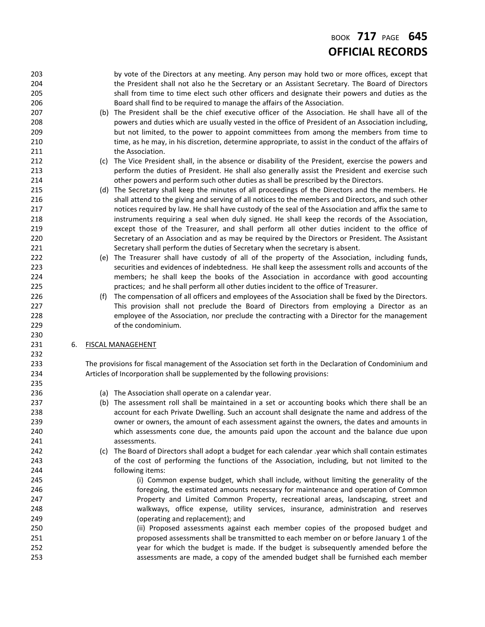# BOOK **717** PAGE **645 OFFICIAL RECORDS**

| 203 |    |     | by vote of the Directors at any meeting. Any person may hold two or more offices, except that           |
|-----|----|-----|---------------------------------------------------------------------------------------------------------|
| 204 |    |     | the President shall not also he the Secretary or an Assistant Secretary. The Board of Directors         |
| 205 |    |     | shall from time to time elect such other officers and designate their powers and duties as the          |
| 206 |    |     | Board shall find to be required to manage the affairs of the Association.                               |
| 207 |    |     | (b) The President shall be the chief executive officer of the Association. He shall have all of the     |
| 208 |    |     | powers and duties which are usually vested in the office of President of an Association including,      |
| 209 |    |     | but not limited, to the power to appoint committees from among the members from time to                 |
| 210 |    |     | time, as he may, in his discretion, determine appropriate, to assist in the conduct of the affairs of   |
| 211 |    |     | the Association.                                                                                        |
| 212 |    | (C) | The Vice President shall, in the absence or disability of the President, exercise the powers and        |
| 213 |    |     | perform the duties of President. He shall also generally assist the President and exercise such         |
| 214 |    |     | other powers and perform such other duties as shall be prescribed by the Directors.                     |
| 215 |    |     | (d) The Secretary shall keep the minutes of all proceedings of the Directors and the members. He        |
| 216 |    |     | shall attend to the giving and serving of all notices to the members and Directors, and such other      |
| 217 |    |     | notices required by law. He shall have custody of the seal of the Association and affix the same to     |
| 218 |    |     | instruments requiring a seal when duly signed. He shall keep the records of the Association,            |
| 219 |    |     | except those of the Treasurer, and shall perform all other duties incident to the office of             |
| 220 |    |     | Secretary of an Association and as may be required by the Directors or President. The Assistant         |
| 221 |    |     | Secretary shall perform the duties of Secretary when the secretary is absent.                           |
| 222 |    |     | (e) The Treasurer shall have custody of all of the property of the Association, including funds,        |
| 223 |    |     | securities and evidences of indebtedness. He shall keep the assessment rolls and accounts of the        |
| 224 |    |     | members; he shall keep the books of the Association in accordance with good accounting                  |
| 225 |    |     | practices; and he shall perform all other duties incident to the office of Treasurer.                   |
| 226 |    | (f) | The compensation of all officers and employees of the Association shall be fixed by the Directors.      |
| 227 |    |     | This provision shall not preclude the Board of Directors from employing a Director as an                |
| 228 |    |     | employee of the Association, nor preclude the contracting with a Director for the management            |
|     |    |     |                                                                                                         |
|     |    |     |                                                                                                         |
| 229 |    |     | of the condominium.                                                                                     |
| 230 |    |     |                                                                                                         |
| 231 | 6. |     | <b>FISCAL MANAGEHENT</b>                                                                                |
| 232 |    |     |                                                                                                         |
| 233 |    |     | The provisions for fiscal management of the Association set forth in the Declaration of Condominium and |
| 234 |    |     | Articles of Incorporation shall be supplemented by the following provisions:                            |
| 235 |    |     |                                                                                                         |
| 236 |    |     | (a) The Association shall operate on a calendar year.                                                   |
| 237 |    |     | (b) The assessment roll shall be maintained in a set or accounting books which there shall be an        |
| 238 |    |     | account for each Private Dwelling. Such an account shall designate the name and address of the          |
| 239 |    |     | owner or owners, the amount of each assessment against the owners, the dates and amounts in             |
| 240 |    |     | which assessments cone due, the amounts paid upon the account and the balance due upon                  |
| 241 |    |     | assessments.                                                                                            |
| 242 |    | (C) | The Board of Directors shall adopt a budget for each calendar .year which shall contain estimates       |
| 243 |    |     | of the cost of performing the functions of the Association, including, but not limited to the           |
| 244 |    |     | following items:                                                                                        |
| 245 |    |     | (i) Common expense budget, which shall include, without limiting the generality of the                  |
| 246 |    |     | foregoing, the estimated amounts necessary for maintenance and operation of Common                      |
| 247 |    |     | Property and Limited Common Property, recreational areas, landscaping, street and                       |
| 248 |    |     | walkways, office expense, utility services, insurance, administration and reserves                      |
| 249 |    |     | (operating and replacement); and                                                                        |
| 250 |    |     | (ii) Proposed assessments against each member copies of the proposed budget and                         |
| 251 |    |     | proposed assessments shall be transmitted to each member on or before January 1 of the                  |
| 252 |    |     | year for which the budget is made. If the budget is subsequently amended before the                     |
| 253 |    |     | assessments are made, a copy of the amended budget shall be furnished each member                       |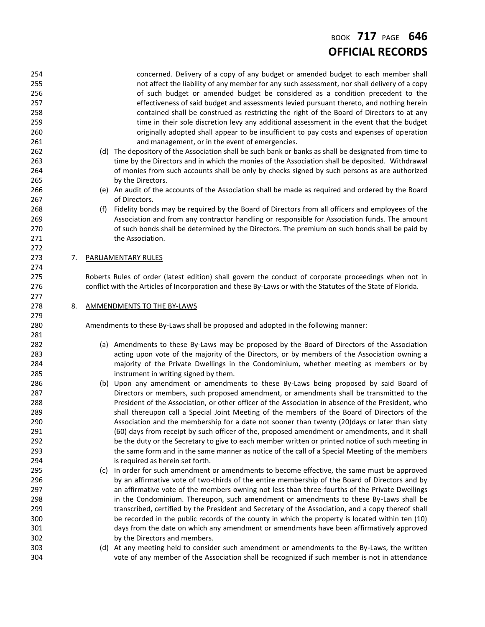# BOOK **717** PAGE **646 OFFICIAL RECORDS**

| 254 |    |     | concerned. Delivery of a copy of any budget or amended budget to each member shall                          |
|-----|----|-----|-------------------------------------------------------------------------------------------------------------|
| 255 |    |     | not affect the liability of any member for any such assessment, nor shall delivery of a copy                |
| 256 |    |     | of such budget or amended budget be considered as a condition precedent to the                              |
| 257 |    |     | effectiveness of said budget and assessments levied pursuant thereto, and nothing herein                    |
| 258 |    |     | contained shall be construed as restricting the right of the Board of Directors to at any                   |
| 259 |    |     | time in their sole discretion levy any additional assessment in the event that the budget                   |
| 260 |    |     | originally adopted shall appear to be insufficient to pay costs and expenses of operation                   |
| 261 |    |     | and management, or in the event of emergencies.                                                             |
| 262 |    |     | (d) The depository of the Association shall be such bank or banks as shall be designated from time to       |
| 263 |    |     | time by the Directors and in which the monies of the Association shall be deposited. Withdrawal             |
| 264 |    |     | of monies from such accounts shall be only by checks signed by such persons as are authorized               |
| 265 |    |     | by the Directors.                                                                                           |
| 266 |    |     | (e) An audit of the accounts of the Association shall be made as required and ordered by the Board          |
| 267 |    |     | of Directors.                                                                                               |
| 268 |    | (f) | Fidelity bonds may be required by the Board of Directors from all officers and employees of the             |
| 269 |    |     | Association and from any contractor handling or responsible for Association funds. The amount               |
| 270 |    |     | of such bonds shall be determined by the Directors. The premium on such bonds shall be paid by              |
| 271 |    |     | the Association.                                                                                            |
| 272 |    |     |                                                                                                             |
| 273 | 7. |     | PARLIAMENTARY RULES                                                                                         |
| 274 |    |     |                                                                                                             |
| 275 |    |     | Roberts Rules of order (latest edition) shall govern the conduct of corporate proceedings when not in       |
| 276 |    |     | conflict with the Articles of Incorporation and these By-Laws or with the Statutes of the State of Florida. |
| 277 |    |     |                                                                                                             |
| 278 | 8. |     | <b>AMMENDMENTS TO THE BY-LAWS</b>                                                                           |
| 279 |    |     |                                                                                                             |
| 280 |    |     | Amendments to these By-Laws shall be proposed and adopted in the following manner:                          |
| 281 |    |     |                                                                                                             |
| 282 |    |     | (a) Amendments to these By-Laws may be proposed by the Board of Directors of the Association                |
| 283 |    |     | acting upon vote of the majority of the Directors, or by members of the Association owning a                |
| 284 |    |     | majority of the Private Dwellings in the Condominium, whether meeting as members or by                      |
| 285 |    |     | instrument in writing signed by them.                                                                       |
| 286 |    |     | (b) Upon any amendment or amendments to these By-Laws being proposed by said Board of                       |
| 287 |    |     | Directors or members, such proposed amendment, or amendments shall be transmitted to the                    |
| 288 |    |     | President of the Association, or other officer of the Association in absence of the President, who          |
| 289 |    |     | shall thereupon call a Special Joint Meeting of the members of the Board of Directors of the                |
| 290 |    |     | Association and the membership for a date not sooner than twenty (20) days or later than sixty              |
| 291 |    |     | (60) days from receipt by such officer of the, proposed amendment or amendments, and it shall               |
| 292 |    |     | be the duty or the Secretary to give to each member written or printed notice of such meeting in            |
| 293 |    |     | the same form and in the same manner as notice of the call of a Special Meeting of the members              |
| 294 |    |     | is required as herein set forth.                                                                            |
| 295 |    |     | (c) In order for such amendment or amendments to become effective, the same must be approved                |
| 296 |    |     | by an affirmative vote of two-thirds of the entire membership of the Board of Directors and by              |
| 297 |    |     | an affirmative vote of the members owning not less than three-fourths of the Private Dwellings              |
| 298 |    |     | in the Condominium. Thereupon, such amendment or amendments to these By-Laws shall be                       |
| 299 |    |     | transcribed, certified by the President and Secretary of the Association, and a copy thereof shall          |
| 300 |    |     | be recorded in the public records of the county in which the property is located within ten (10)            |
| 301 |    |     | days from the date on which any amendment or amendments have been affirmatively approved                    |
| 302 |    |     | by the Directors and members.                                                                               |
| 303 |    |     | (d) At any meeting held to consider such amendment or amendments to the By-Laws, the written                |
| 304 |    |     | vote of any member of the Association shall be recognized if such member is not in attendance               |
|     |    |     |                                                                                                             |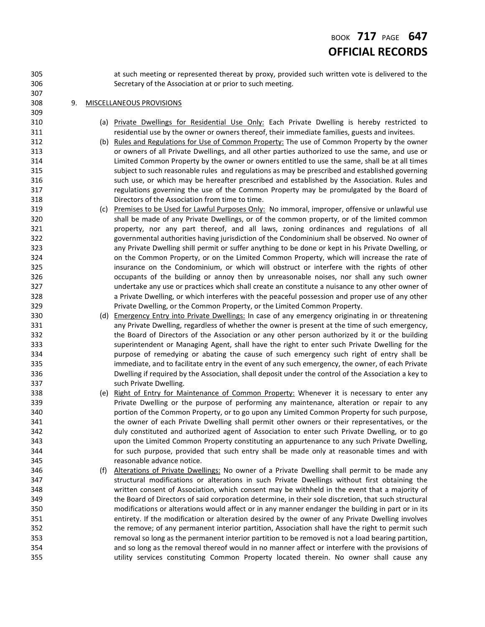## BOOK **717** PAGE **647 OFFICIAL RECORDS**

 at such meeting or represented thereat by proxy, provided such written vote is delivered to the Secretary of the Association at or prior to such meeting.

### 9. MISCELLANEOUS PROVISIONS

- (a) Private Dwellings for Residential Use Only: Each Private Dwelling is hereby restricted to residential use by the owner or owners thereof, their immediate families, guests and invitees.
- (b) Rules and Regulations for Use of Common Property: The use of Common Property by the owner or owners of all Private Dwellings, and all other parties authorized to use the same, and use or Limited Common Property by the owner or owners entitled to use the same, shall be at all times subject to such reasonable rules and regulations as may be prescribed and established governing such use, or which may be hereafter prescribed and established by the Association. Rules and regulations governing the use of the Common Property may be promulgated by the Board of Directors of the Association from time to time.
- 319 (c) Premises to be Used for Lawful Purposes Only: No immoral, improper, offensive or unlawful use shall be made of any Private Dwellings, or of the common property, or of the limited common property, nor any part thereof, and all laws, zoning ordinances and regulations of all governmental authorities having jurisdiction of the Condominium shall be observed. No owner of any Private Dwelling shill permit or suffer anything to be done or kept in his Private Dwelling, or on the Common Property, or on the Limited Common Property, which will increase the rate of insurance on the Condominium, or which will obstruct or interfere with the rights of other occupants of the building or annoy then by unreasonable noises, nor shall any such owner undertake any use or practices which shall create an constitute a nuisance to any other owner of a Private Dwelling, or which interferes with the peaceful possession and proper use of any other Private Dwelling, or the Common Property, or the Limited Common Property.
- (d) Emergency Entry into Private Dwellings: In case of any emergency originating in or threatening any Private Dwelling, regardless of whether the owner is present at the time of such emergency, 332 the Board of Directors of the Association or any other person authorized by it or the building superintendent or Managing Agent, shall have the right to enter such Private Dwelling for the purpose of remedying or abating the cause of such emergency such right of entry shall be 335 immediate, and to facilitate entry in the event of any such emergency, the owner, of each Private Dwelling if required by the Association, shall deposit under the control of the Association a key to such Private Dwelling.
- 338 (e) Right of Entry for Maintenance of Common Property: Whenever it is necessary to enter any **Private Dwelling or the purpose of performing any maintenance, alteration or repair to any**  portion of the Common Property, or to go upon any Limited Common Property for such purpose, the owner of each Private Dwelling shall permit other owners or their representatives, or the duly constituted and authorized agent of Association to enter such Private Dwelling, or to go upon the Limited Common Property constituting an appurtenance to any such Private Dwelling, for such purpose, provided that such entry shall be made only at reasonable times and with reasonable advance notice.
- (f) Alterations of Private Dwellings: No owner of a Private Dwelling shall permit to be made any structural modifications or alterations in such Private Dwellings without first obtaining the written consent of Association, which consent may be withheld in the event that a majority of the Board of Directors of said corporation determine, in their sole discretion, that such structural modifications or alterations would affect or in any manner endanger the building in part or in its entirety. If the modification or alteration desired by the owner of any Private Dwelling involves the remove; of any permanent interior partition, Association shall have the right to permit such removal so long as the permanent interior partition to be removed is not a load bearing partition, and so long as the removal thereof would in no manner affect or interfere with the provisions of utility services constituting Common Property located therein. No owner shall cause any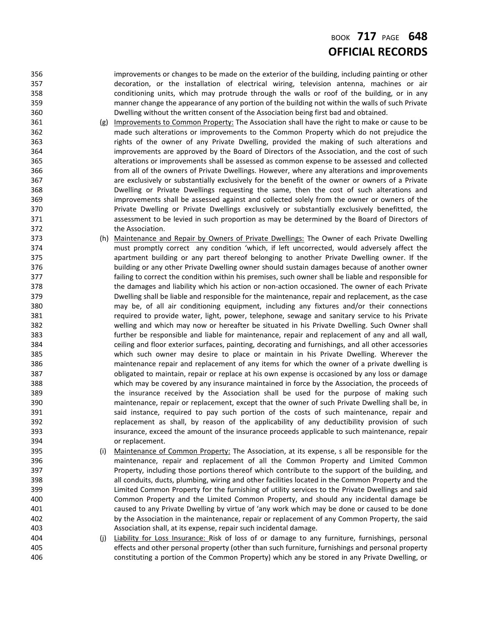### BOOK **717** PAGE **648 OFFICIAL RECORDS**

 improvements or changes to be made on the exterior of the building, including painting or other decoration, or the installation of electrical wiring, television antenna, machines or air conditioning units, which may protrude through the walls or roof of the building, or in any manner change the appearance of any portion of the building not within the walls of such Private Dwelling without the written consent of the Association being first bad and obtained.

- (g) Improvements to Common Property: The Association shall have the right to make or cause to be made such alterations or improvements to the Common Property which do not prejudice the rights of the owner of any Private Dwelling, provided the making of such alterations and improvements are approved by the Board of Directors of the Association, and the cost of such alterations or improvements shall be assessed as common expense to be assessed and collected from all of the owners of Private Dwellings. However, where any alterations and improvements are exclusively or substantially exclusively for the benefit of the owner or owners of a Private Dwelling or Private Dwellings requesting the same, then the cost of such alterations and improvements shall be assessed against and collected solely from the owner or owners of the Private Dwelling or Private Dwellings exclusively or substantially exclusively benefitted, the assessment to be levied in such proportion as may be determined by the Board of Directors of the Association.
- 373 (h) Maintenance and Repair by Owners of Private Dwellings: The Owner of each Private Dwelling must promptly correct any condition 'which, if left uncorrected, would adversely affect the apartment building or any part thereof belonging to another Private Dwelling owner. If the building or any other Private Dwelling owner should sustain damages because of another owner failing to correct the condition within his premises, such owner shall be liable and responsible for the damages and liability which his action or non-action occasioned. The owner of each Private Dwelling shall be liable and responsible for the maintenance, repair and replacement, as the case may be, of all air conditioning equipment, including any fixtures and/or their connections required to provide water, light, power, telephone, sewage and sanitary service to his Private welling and which may now or hereafter be situated in his Private Dwelling. Such Owner shall further be responsible and liable for maintenance, repair and replacement of any and all wall, ceiling and floor exterior surfaces, painting, decorating and furnishings, and all other accessories which such owner may desire to place or maintain in his Private Dwelling. Wherever the maintenance repair and replacement of any items for which the owner of a private dwelling is obligated to maintain, repair or replace at his own expense is occasioned by any loss or damage which may be covered by any insurance maintained in force by the Association, the proceeds of 389 the insurance received by the Association shall be used for the purpose of making such maintenance, repair or replacement, except that the owner of such Private Dwelling shall be, in 391 said instance, required to pay such portion of the costs of such maintenance, repair and replacement as shall, by reason of the applicability of any deductibility provision of such insurance, exceed the amount of the insurance proceeds applicable to such maintenance, repair or replacement.
- (i) Maintenance of Common Property: The Association, at its expense, s all be responsible for the maintenance, repair and replacement of all the Common Property and Limited Common Property, including those portions thereof which contribute to the support of the building, and all conduits, ducts, plumbing, wiring and other facilities located in the Common Property and the Limited Common Property for the furnishing of utility services to the Private Dwellings and said Common Property and the Limited Common Property, and should any incidental damage be caused to any Private Dwelling by virtue of 'any work which may be done or caused to be done by the Association in the maintenance, repair or replacement of any Common Property, the said Association shall, at its expense, repair such incidental damage.
- 404 (j) Liability for Loss Insurance: Risk of loss of or damage to any furniture, furnishings, personal effects and other personal property (other than such furniture, furnishings and personal property constituting a portion of the Common Property) which any be stored in any Private Dwelling, or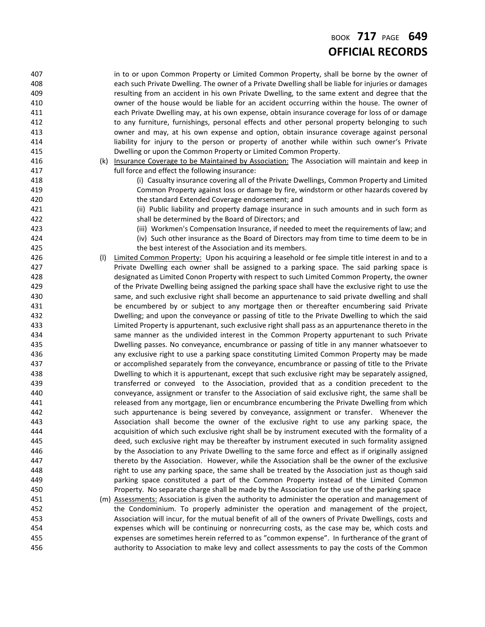### BOOK **717** PAGE **649 OFFICIAL RECORDS**

407 in to or upon Common Property or Limited Common Property, shall be borne by the owner of each such Private Dwelling. The owner of a Private Dwelling shall be liable for injuries or damages resulting from an accident in his own Private Dwelling, to the same extent and degree that the owner of the house would be liable for an accident occurring within the house. The owner of each Private Dwelling may, at his own expense, obtain insurance coverage for loss of or damage to any furniture, furnishings, personal effects and other personal property belonging to such owner and may, at his own expense and option, obtain insurance coverage against personal liability for injury to the person or property of another while within such owner's Private Dwelling or upon the Common Property or Limited Common Property. 416 (k) Insurance Coverage to be Maintained by Association: The Association will maintain and keep in full force and effect the following insurance: (i) Casualty insurance covering all of the Private Dwellings, Common Property and Limited Common Property against loss or damage by fire, windstorm or other hazards covered by the standard Extended Coverage endorsement; and (ii) Public liability and property damage insurance in such amounts and in such form as shall be determined by the Board of Directors; and (iii) Workmen's Compensation Insurance, if needed to meet the requirements of law; and (iv) Such other insurance as the Board of Directors may from time to time deem to be in the best interest of the Association and its members. 426 (I) Limited Common Property: Upon his acquiring a leasehold or fee simple title interest in and to a Private Dwelling each owner shall be assigned to a parking space. The said parking space is designated as Limited Conon Property with respect to such Limited Common Property, the owner of the Private Dwelling being assigned the parking space shall have the exclusive right to use the same, and such exclusive right shall become an appurtenance to said private dwelling and shall be encumbered by or subject to any mortgage then or thereafter encumbering said Private Dwelling; and upon the conveyance or passing of title to the Private Dwelling to which the said Limited Property is appurtenant, such exclusive right shall pass as an appurtenance thereto in the **Same manner as the undivided interest in the Common Property appurtenant to such Private**  Dwelling passes. No conveyance, encumbrance or passing of title in any manner whatsoever to any exclusive right to use a parking space constituting Limited Common Property may be made or accomplished separately from the conveyance, encumbrance or passing of title to the Private Dwelling to which it is appurtenant, except that such exclusive right may be separately assigned, transferred or conveyed to the Association, provided that as a condition precedent to the conveyance, assignment or transfer to the Association of said exclusive right, the same shall be **released from any mortgage, lien or encumbrance encumbering the Private Dwelling from which**  such appurtenance is being severed by conveyance, assignment or transfer. Whenever the Association shall become the owner of the exclusive right to use any parking space, the acquisition of which such exclusive right shall be by instrument executed with the formality of a deed, such exclusive right may be thereafter by instrument executed in such formality assigned by the Association to any Private Dwelling to the same force and effect as if originally assigned thereto by the Association. However, while the Association shall be the owner of the exclusive right to use any parking space, the same shall be treated by the Association just as though said parking space constituted a part of the Common Property instead of the Limited Common Property. No separate charge shall be made by the Association for the use of the parking space (m) Assessments: Association is given the authority to administer the operation and management of the Condominium. To properly administer the operation and management of the project, Association will incur, for the mutual benefit of all of the owners of Private Dwellings, costs and expenses which will be continuing or nonrecurring costs, as the case may be, which costs and expenses are sometimes herein referred to as "common expense". In furtherance of the grant of authority to Association to make levy and collect assessments to pay the costs of the Common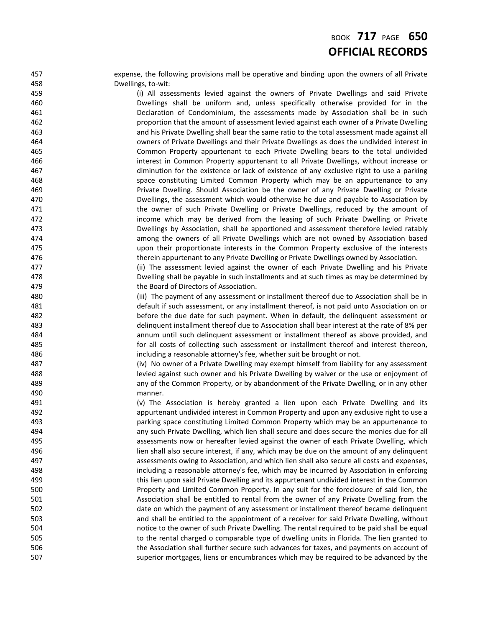### BOOK **717** PAGE **650 OFFICIAL RECORDS**

 expense, the following provisions mall be operative and binding upon the owners of all Private Dwellings, to-wit:

 (i) All assessments levied against the owners of Private Dwellings and said Private Dwellings shall be uniform and, unless specifically otherwise provided for in the Declaration of Condominium, the assessments made by Association shall be in such proportion that the amount of assessment levied against each owner of a Private Dwelling and his Private Dwelling shall bear the same ratio to the total assessment made against all owners of Private Dwellings and their Private Dwellings as does the undivided interest in Common Property appurtenant to each Private Dwelling bears to the total undivided interest in Common Property appurtenant to all Private Dwellings, without increase or diminution for the existence or lack of existence of any exclusive right to use a parking space constituting Limited Common Property which may be an appurtenance to any Private Dwelling. Should Association be the owner of any Private Dwelling or Private Dwellings, the assessment which would otherwise he due and payable to Association by **the owner of such Private Dwelling or Private Dwellings, reduced by the amount of**  income which may be derived from the leasing of such Private Dwelling or Private Dwellings by Association, shall be apportioned and assessment therefore levied ratably among the owners of all Private Dwellings which are not owned by Association based upon their proportionate interests in the Common Property exclusive of the interests therein appurtenant to any Private Dwelling or Private Dwellings owned by Association.

 (ii) The assessment levied against the owner of each Private Dwelling and his Private Dwelling shall be payable in such installments and at such times as may be determined by the Board of Directors of Association.

 (iii) The payment of any assessment or installment thereof due to Association shall be in default if such assessment, or any installment thereof, is not paid unto Association on or before the due date for such payment. When in default, the delinquent assessment or delinquent installment thereof due to Association shall bear interest at the rate of 8% per annum until such delinquent assessment or installment thereof as above provided, and for all costs of collecting such assessment or installment thereof and interest thereon, including a reasonable attorney's fee, whether suit be brought or not.

 (iv) No owner of a Private Dwelling may exempt himself from liability for any assessment levied against such owner and his Private Dwelling by waiver or the use or enjoyment of any of the Common Property, or by abandonment of the Private Dwelling, or in any other manner.

 (v) The Association is hereby granted a lien upon each Private Dwelling and its appurtenant undivided interest in Common Property and upon any exclusive right to use a parking space constituting Limited Common Property which may be an appurtenance to any such Private Dwelling, which lien shall secure and does secure the monies due for all assessments now or hereafter levied against the owner of each Private Dwelling, which lien shall also secure interest, if any, which may be due on the amount of any delinquent assessments owing to Association, and which lien shall also secure all costs and expenses, including a reasonable attorney's fee, which may be incurred by Association in enforcing this lien upon said Private Dwelling and its appurtenant undivided interest in the Common Property and Limited Common Property. In any suit for the foreclosure of said lien, the Association shall be entitled to rental from the owner of any Private Dwelling from the date on which the payment of any assessment or installment thereof became delinquent and shall be entitled to the appointment of a receiver for said Private Dwelling, without notice to the owner of such Private Dwelling. The rental required to be paid shall be equal 505 to the rental charged o comparable type of dwelling units in Florida. The lien granted to the Association shall further secure such advances for taxes, and payments on account of superior mortgages, liens or encumbrances which may be required to be advanced by the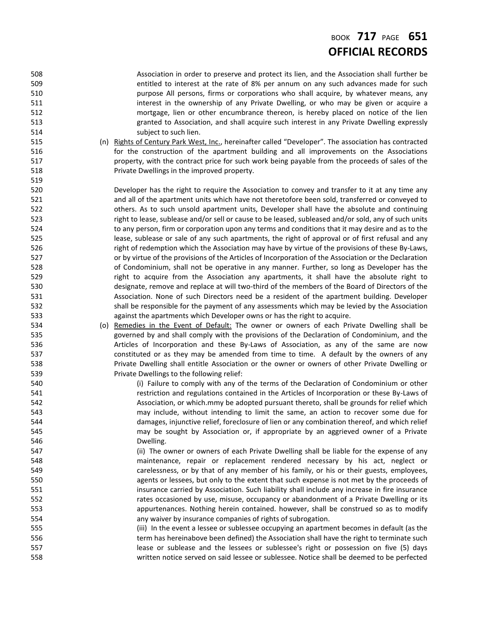### BOOK **717** PAGE **651 OFFICIAL RECORDS**

 Association in order to preserve and protect its lien, and the Association shall further be entitled to interest at the rate of 8% per annum on any such advances made for such **120 purpose All persons, firms or corporations who shall acquire, by whatever means, any interest in the ownership of any Private Dwelling, or who may be given or acquire a**  mortgage, lien or other encumbrance thereon, is hereby placed on notice of the lien granted to Association, and shall acquire such interest in any Private Dwelling expressly 514 subject to such lien. (n) Rights of Century Park West, Inc., hereinafter called "Developer". The association has contracted for the construction of the apartment building and all improvements on the Associations property, with the contract price for such work being payable from the proceeds of sales of the Private Dwellings in the improved property. Developer has the right to require the Association to convey and transfer to it at any time any and all of the apartment units which have not theretofore been sold, transferred or conveyed to others. As to such unsold apartment units, Developer shall have the absolute and continuing 523 right to lease, sublease and/or sell or cause to be leased, subleased and/or sold, any of such units 524 to any person, firm or corporation upon any terms and conditions that it may desire and as to the lease, sublease or sale of any such apartments, the right of approval or of first refusal and any **right of redemption which the Association may have by virtue of the provisions of these By-Laws,**  or by virtue of the provisions of the Articles of Incorporation of the Association or the Declaration of Condominium, shall not be operative in any manner. Further, so long as Developer has the **right to acquire from the Association any apartments, it shall have the absolute right to**  designate, remove and replace at will two-third of the members of the Board of Directors of the Association. None of such Directors need be a resident of the apartment building. Developer shall be responsible for the payment of any assessments which may be levied by the Association against the apartments which Developer owns or has the right to acquire. 534 (o) Remedies in the Event of Default: The owner or owners of each Private Dwelling shall be governed by and shall comply with the provisions of the Declaration of Condominium, and the **Articles of Incorporation and these By-Laws of Association, as any of the same are now**  constituted or as they may be amended from time to time. A default by the owners of any Private Dwelling shall entitle Association or the owner or owners of other Private Dwelling or Private Dwellings to the following relief: 540 (i) Failure to comply with any of the terms of the Declaration of Condominium or other restriction and regulations contained in the Articles of Incorporation or these By-Laws of Association, or which.mmy be adopted pursuant thereto, shall be grounds for relief which may include, without intending to limit the same, an action to recover some due for damages, injunctive relief, foreclosure of lien or any combination thereof, and which relief may be sought by Association or, if appropriate by an aggrieved owner of a Private Dwelling. (ii) The owner or owners of each Private Dwelling shall be liable for the expense of any maintenance, repair or replacement rendered necessary by his act, neglect or **carelessness, or by that of any member of his family, or his or their guests, employees,**  agents or lessees, but only to the extent that such expense is not met by the proceeds of insurance carried by Association. Such liability shall include any increase in fire insurance rates occasioned by use, misuse, occupancy or abandonment of a Private Dwelling or its appurtenances. Nothing herein contained. however, shall be construed so as to modify any waiver by insurance companies of rights of subrogation. (iii) In the event a lessee or sublessee occupying an apartment becomes in default (as the 556 term has hereinabove been defined) the Association shall have the right to terminate such lease or sublease and the lessees or sublessee's right or possession on five (5) days written notice served on said lessee or sublessee. Notice shall be deemed to be perfected